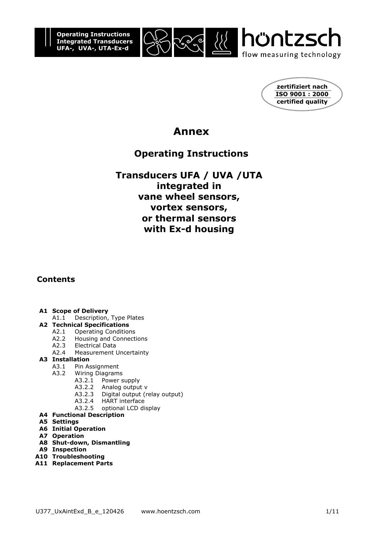



**zertifiziert nach ISO 9001 : 2000 certified quality** 

# **Annex**

# **Operating Instructions**

**Transducers UFA / UVA /UTA integrated in vane wheel sensors, vortex sensors, or thermal sensors with Ex-d housing** 

### **Contents**

#### **A1 Scope of Delivery**

A1.1 Description, Type Plates

### **A2 Technical Specifications**

- A2.1 Operating Conditions
- A2.2 Housing and Connections<br>A2.3 Flectrical Data
- **Electrical Data**
- A2.4 Measurement Uncertainty

### **A3 Installation**

- A3.1 Pin Assignment
- A3.2 Wiring Diagrams
	- A3.2.1 Power supply
	- A3.2.2 Analog output v
	- A3.2.3 Digital output (relay output)
	- A3.2.4 HART interface
		- A3.2.5 optional LCD display
- **A4 Functional Description**
- **A5 Settings**
- **A6 Initial Operation**
- **A7 Operation**
- **A8 Shut-down, Dismantling**
- **A9 Inspection**
- **A10 Troubleshooting**
- **A11 Replacement Parts**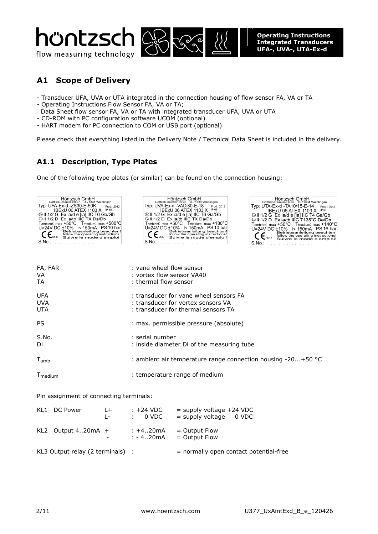

## **A1 Scope of Delivery**

- Transducer UFA, UVA or UTA integrated in the connection housing of flow sensor FA, VA or TA
- Operating Instructions Flow Sensor FA, VA or TA;
- Data Sheet flow sensor FA, VA or TA with integrated transducer UFA, UVA or UTA
- CD-ROM with PC configuration software UCOM (optional)
- HART modem for PC connection to COM or USB port (optional)

Please check that everything listed in the Delivery Note / Technical Data Sheet is included in the delivery.

### **A1.1 Description, Type Plates**

One of the following type plates (or similar) can be found on the connection housing:

| Höntzsch GmbH<br>Gottlieb-Daimler-Str.37 D-71334 Waiblingen                    |  |
|--------------------------------------------------------------------------------|--|
|                                                                                |  |
| Typ: UFA-Ex-d -ZS30-E-50K<br>Prod.: 2012                                       |  |
| IBExU 06 ATEX 1103 X<br>IP 68                                                  |  |
| tall 1/2 G Ex ia/d e [ia] IIC T6 Ga/Gb                                         |  |
| to II 1/2 D Ex ia/tb IIIC TX Da/Db                                             |  |
| Tambient: max +50°C Tmedium: max +500°C                                        |  |
| U=24V DC $\pm$ 10% I< 150mA PS 10 bar                                          |  |
| <b>Example 10 Detriebsanteitung beachten!</b><br>Suite operating instructions! |  |
|                                                                                |  |
| Suivre le mode d'emploi!                                                       |  |
|                                                                                |  |

 $\begin{array}{ll} \text{Gottile-Dalmler-StrADi} \ GmpDH & \text{Wabilingen} \\ \text{Type: UVA-Ex-d - VADiBO-C-18 & \text{Product} \\ \text{IBEXU 06 ATEX 1103 X & \text{F68} \\ \text{EII 1/2 G Ex ia/d e [ia] IIC T6 Ga/Gb} \\ \text{EII 1/2 D Ex ia/d b IIIC TX Da/Db} \\ \text{Tambuticit max +50°C} \ Tmetium: max +180°C \\ \text{U-Z4V DC +10% } \text{I<sub>2</sub> 150mA P S 10 bar} \\ \text{ECSY} \ GmH & \text{Bottriesan$  $S$  No  $\cdot$ 

. . . . . . . . . . . . . . . . .

 $\begin{array}{ll} \text{Gottie-bamler-Sn3 OnphH} & \text{Gptlyc, 174734 Wabilingen} \\ \text{Typ: UTA-Ex-d-TA10/15-E-14} & \text{Frot: 2012} \\ \text{IBEXU 06 ATEX 1103 X } & \text{IP63} \\ \text{\textcircled{\#}} & \text{II 1/2 C} \\ \text{I11/2 D} & \text{Ex iad/dt b II} \\ \text{Tumbent: max +50°C} & \text{Tmedium: max +140°C} \\ \text{Tumbent: max +50°C} & \text{Tmedium: max +140°C} \\ \text{U=24V DC +10%$  $S$ <sub>No</sub> $\cdot$ 

| FA, FAR    | : vane wheel flow sensor                                       |
|------------|----------------------------------------------------------------|
| VA         | : vortex flow sensor VA40                                      |
| TA         | : thermal flow sensor                                          |
| <b>UFA</b> | : transducer for vane wheel sensors FA                         |
| <b>UVA</b> | : transducer for vortex sensors VA                             |
| <b>UTA</b> | : transducer for thermal sensors TA                            |
| <b>PS</b>  | : max. permissible pressure (absolute)                         |
| S.No.      | : serial number                                                |
| Di         | : inside diameter Di of the measuring tube                     |
| $T_{amb}$  | : ambient air temperature range connection housing $-20+50$ °C |
| I medium   | : temperature range of medium                                  |

Pin assignment of connecting terminals:

| KL1 DC Power                     | $L +$<br>$\mathsf{I}$ – | :+24 VDC<br>$: 0$ VDC | $=$ supply voltage $+24$ VDC<br>$=$ supply voltage 0 VDC |
|----------------------------------|-------------------------|-----------------------|----------------------------------------------------------|
| KL2 Output $420mA +$             | -                       | :+420mA<br>:- 420mA   | $=$ Output Flow<br>$=$ Output Flow                       |
| KL3 Output relay (2 terminals) : |                         |                       | $=$ normally open contact potential-free                 |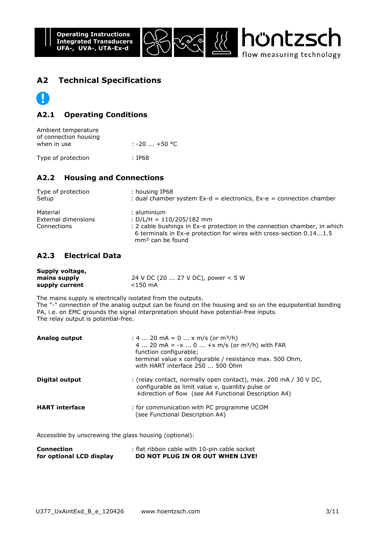







### **A2.1 Operating Conditions**

| Ambient temperature   |               |
|-----------------------|---------------|
| of connection housing |               |
| when in use           | :-20 … +50 °C |
|                       |               |
| Type of protection    | : IP68        |

### **A2.2 Housing and Connections**

| Type of protection                             | : housing IP68                                                                                                                                                                                                                |
|------------------------------------------------|-------------------------------------------------------------------------------------------------------------------------------------------------------------------------------------------------------------------------------|
| Setup                                          | : dual chamber system $Ex-d =$ electronics, $Ex-e =$ connection chamber                                                                                                                                                       |
| Material<br>External dimensions<br>Connections | : aluminium<br>: $D/L/H = 110/205/182$ mm<br>: 2 cable bushings in Ex-e protection in the connection chamber, in which<br>6 terminals in Ex-e protection for wires with cross-section 0.141.5<br>mm <sup>2</sup> can be found |

### **A2.3 Electrical Data**

| Supply voltage, |                                    |
|-----------------|------------------------------------|
| mains supply    | 24 V DC (20  27 V DC), power < 5 W |
| supply current  | $<$ 150 mA                         |

The mains supply is electrically isolated from the outputs.

The "-" connection of the analog output can be found on the housing and so on the equipotential bonding PA, i.e. on EMC grounds the signal interpretation should have potential-free inputs. The relay output is potential-free.

| <b>Analog output</b>  | : 4  20 mA = 0  x m/s (or m <sup>3</sup> /h)<br>4  20 mA = $-x$ 0  +x m/s (or m <sup>3</sup> /h) with FAR<br>function configurable;<br>terminal value x configurable / resistance max. 500 Ohm,<br>with HART interface 250  500 Ohm |
|-----------------------|-------------------------------------------------------------------------------------------------------------------------------------------------------------------------------------------------------------------------------------|
| Digital output        | : (relay contact, normally open contact), max. 200 mA / 30 V DC,<br>configurable as limit value v, quantity pulse or<br>$\pm$ direction of flow (see A4 Functional Description A4)                                                  |
| <b>HART</b> interface | : for communication with PC programme UCOM<br>(see Functional Description A4)                                                                                                                                                       |

Accessible by unscrewing the glass housing (optional):

| <b>Connection</b>        | : flat ribbon cable with 10-pin cable socket |
|--------------------------|----------------------------------------------|
| for optional LCD display | DO NOT PLUG IN OR OUT WHEN LIVE!             |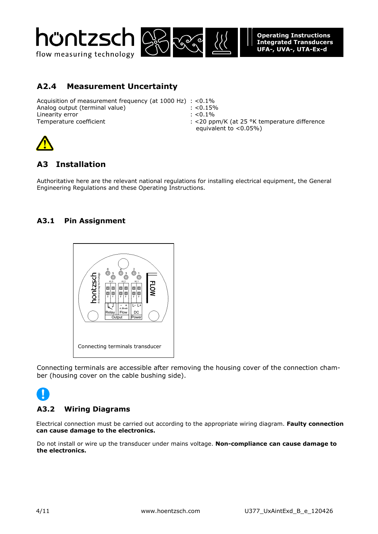



**Operating Instructions Integrated Transducers UFA-, UVA-, UTA-Ex-d** 

## **A2.4 Measurement Uncertainty**

Acquisition of measurement frequency (at 1000 Hz) : <0.1% Analog output (terminal value)  $\sim$  : <0.15% Linearity error in the set of the set of the set of the set of the set of the set of the set of the set of the<br>
Temperature coefficient in the set of the set of the set of the set of the set of the set of the set of the s

: <20 ppm/K (at 25 °K temperature difference equivalent to <0.05%)



## **A3 Installation**

Authoritative here are the relevant national regulations for installing electrical equipment, the General Engineering Regulations and these Operating Instructions.

### **A3.1 Pin Assignment**



Connecting terminals are accessible after removing the housing cover of the connection chamber (housing cover on the cable bushing side).



### **A3.2 Wiring Diagrams**

 Electrical connection must be carried out according to the appropriate wiring diagram. **Faulty connection can cause damage to the electronics.** 

Do not install or wire up the transducer under mains voltage. **Non-compliance can cause damage to the electronics.**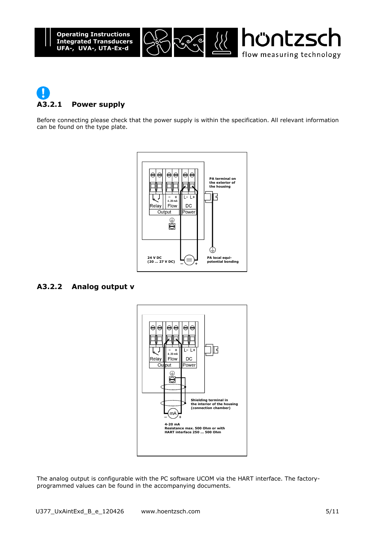



Before connecting please check that the power supply is within the specification. All relevant information can be found on the type plate.



### **A3.2.2 Analog output v**



The analog output is configurable with the PC software UCOM via the HART interface. The factoryprogrammed values can be found in the accompanying documents.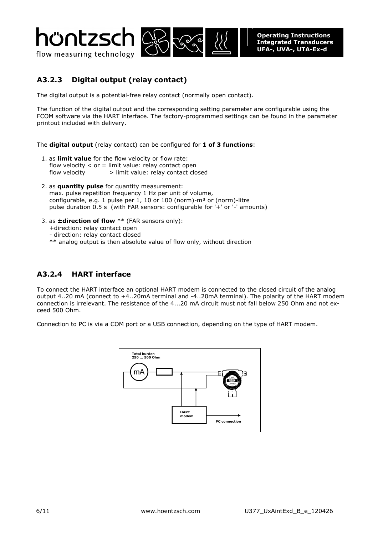

flow measuring technology



## **A3.2.3 Digital output (relay contact)**

The digital output is a potential-free relay contact (normally open contact).

The function of the digital output and the corresponding setting parameter are configurable using the FCOM software via the HART interface. The factory-programmed settings can be found in the parameter printout included with delivery.

The **digital output** (relay contact) can be configured for **1 of 3 functions**:

- 1. as **limit value** for the flow velocity or flow rate: flow velocity  $\langle$  or = limit value: relay contact open flow velocity > limit value: relay contact closed
- 2. as **quantity pulse** for quantity measurement: max. pulse repetition frequency 1 Hz per unit of volume, configurable, e.g. 1 pulse per 1, 10 or 100 (norm)-m<sup>3</sup> or (norm)-litre pulse duration 0.5 s (with FAR sensors: configurable for '+' or '-' amounts)
- 3. as **±direction of flow** \*\* (FAR sensors only): +direction: relay contact open - direction: relay contact closed \*\* analog output is then absolute value of flow only, without direction

### **A3.2.4 HART interface**

To connect the HART interface an optional HART modem is connected to the closed circuit of the analog output 4..20 mA (connect to +4..20mA terminal and -4..20mA terminal). The polarity of the HART modem connection is irrelevant. The resistance of the 4...20 mA circuit must not fall below 250 Ohm and not exceed 500 Ohm.

Connection to PC is via a COM port or a USB connection, depending on the type of HART modem.

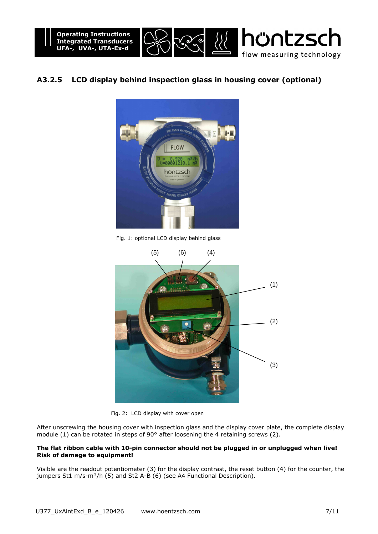

### **A3.2.5 LCD display behind inspection glass in housing cover (optional)**



Fig. 1: optional LCD display behind glass



Fig. 2: LCD display with cover open

After unscrewing the housing cover with inspection glass and the display cover plate, the complete display module (1) can be rotated in steps of 90 $^{\circ}$  after loosening the 4 retaining screws (2).

#### **The flat ribbon cable with 10-pin connector should not be plugged in or unplugged when live! Risk of damage to equipment!**

Visible are the readout potentiometer (3) for the display contrast, the reset button (4) for the counter, the jumpers St1 m/s-m<sup>3</sup>/h (5) and St2 A-B (6) (see A4 Functional Description).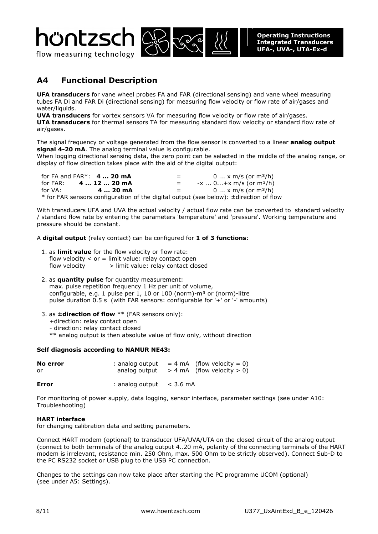

flow measuring technology



## **A4 Functional Description**

**UFA transducers** for vane wheel probes FA and FAR (directional sensing) and vane wheel measuring tubes FA Di and FAR Di (directional sensing) for measuring flow velocity or flow rate of air/gases and water/liquids.

**UVA transducers** for vortex sensors VA for measuring flow velocity or flow rate of air/gases. **UTA transducers** for thermal sensors TA for measuring standard flow velocity or standard flow rate of air/gases.

The signal frequency or voltage generated from the flow sensor is converted to a linear **analog output signal 4-20 mA**. The analog terminal value is configurable.

When logging directional sensing data, the zero point can be selected in the middle of the analog range, or display of flow direction takes place with the aid of the digital output:

for FA and FAR<sup>\*</sup>: **4 ... 20 mA**  $=$  0 ... x m/s (or m<sup>3</sup>/h) for FAR: **4 ... 12 ... 20 mA**  $=$   $-x$  ... 0... + x m/s (or m<sup>3</sup>/h)<br>for VA: **4 ... 20 mA**  $=$  0 ... x m/s (or m<sup>3</sup>/h) for VA: **4 ... 20 mA**  $=$  0 ... x m/s (or m<sup>3</sup>/h) \* for FAR sensors configuration of the digital output (see below): ±direction of flow

With transducers UFA and UVA the actual velocity / actual flow rate can be converted to standard velocity / standard flow rate by entering the parameters 'temperature' and 'pressure'. Working temperature and pressure should be constant.

A **digital output** (relay contact) can be configured for **1 of 3 functions**:

- 1. as **limit value** for the flow velocity or flow rate: flow velocity  $<$  or  $=$  limit value: relay contact open flow velocity  $\longrightarrow$  limit value: relay contact closed
- 2. as **quantity pulse** for quantity measurement: max. pulse repetition frequency 1 Hz per unit of volume, configurable, e.g. 1 pulse per 1, 10 or 100 (norm)- $m<sup>3</sup>$  or (norm)-litre pulse duration 0.5 s (with FAR sensors: configurable for '+' or '-' amounts)
- 3. as **±direction of flow** \*\* (FAR sensors only):
	- +direction: relay contact open
	- direction: relay contact closed
	- \*\* analog output is then absolute value of flow only, without direction

#### **Self diagnosis according to NAMUR NE43:**

| No error | : analog output               | $= 4 \text{ mA}$ (flow velocity $= 0$ ) |
|----------|-------------------------------|-----------------------------------------|
| ٥r       | analog output                 | $> 4$ mA (flow velocity $> 0$ )         |
| Error    | : analog output $\leq$ 3.6 mA |                                         |

For monitoring of power supply, data logging, sensor interface, parameter settings (see under A10: Troubleshooting)

#### **HART interface**

for changing calibration data and setting parameters.

Connect HART modem (optional) to transducer UFA/UVA/UTA on the closed circuit of the analog output (connect to both terminals of the analog output 4..20 mA, polarity of the connecting terminals of the HART modem is irrelevant, resistance min. 250 Ohm, max. 500 Ohm to be strictly observed). Connect Sub-D to the PC RS232 socket or USB plug to the USB PC connection.

Changes to the settings can now take place after starting the PC programme UCOM (optional) (see under A5: Settings).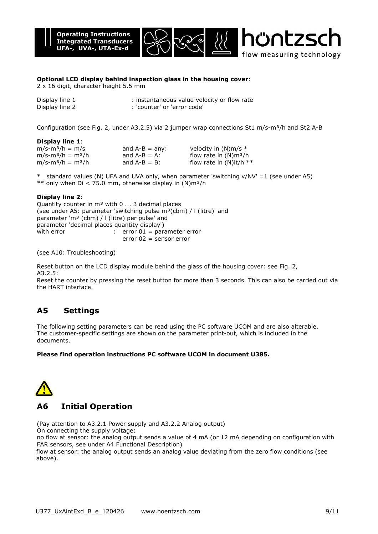





#### **Optional LCD display behind inspection glass in the housing cover**:

2 x 16 digit, character height 5.5 mm

| Display line 1 | : instantaneous value velocity or flow rate |
|----------------|---------------------------------------------|
| Display line 2 | : 'counter' or 'error code'                 |

Configuration (see Fig. 2, under A3.2.5) via 2 jumper wrap connections St1 m/s-m<sup>3</sup>/h and St2 A-B

#### **Display line 1**:

| $m/s$ -m <sup>3</sup> /h = m/s               | and $A-B = any$ : | velocity in $(N)m/s$ *       |
|----------------------------------------------|-------------------|------------------------------|
| $m/s$ -m <sup>3</sup> /h = m <sup>3</sup> /h | and $A-B = A$ :   | flow rate in $(N)m^3/h$      |
| $m/s - m^3/h = m^3/h$                        | and $A-B = B$ :   | flow rate in $(N)$ lt/h $**$ |

 $*$  standard values (N) UFA and UVA only, when parameter 'switching  $v/NV' = 1$  (see under A5)  $**$  only when Di < 75.0 mm, otherwise display in (N)m<sup>3</sup>/h

#### **Display line 2**:

Quantity counter in  $m<sup>3</sup>$  with 0 ... 3 decimal places (see under A5: parameter 'switching pulse  $m^3$ (cbm) / I (litre)' and parameter 'm<sup>3</sup> (cbm) / l (litre) per pulse' and parameter 'decimal places quantity display') with error  $\cdot$  error  $01 =$  parameter error error  $02 =$ sensor error

(see A10: Troubleshooting)

Reset button on the LCD display module behind the glass of the housing cover: see Fig. 2, A3.2.5:

Reset the counter by pressing the reset button for more than 3 seconds. This can also be carried out via the HART interface.

## **A5 Settings**

The following setting parameters can be read using the PC software UCOM and are also alterable. The customer-specific settings are shown on the parameter print-out, which is included in the documents.

#### **Please find operation instructions PC software UCOM in document U385.**



### **A6 Initial Operation**

(Pay attention to A3.2.1 Power supply and A3.2.2 Analog output) On connecting the supply voltage:

no flow at sensor: the analog output sends a value of 4 mA (or 12 mA depending on configuration with FAR sensors, see under A4 Functional Description)

 flow at sensor: the analog output sends an analog value deviating from the zero flow conditions (see above).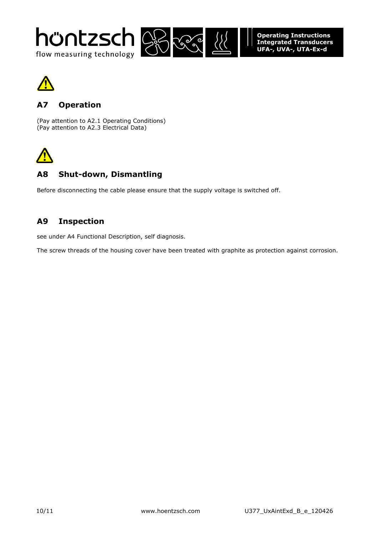





### **A7 Operation**

(Pay attention to A2.1 Operating Conditions) (Pay attention to A2.3 Electrical Data)



## **A8 Shut-down, Dismantling**

Before disconnecting the cable please ensure that the supply voltage is switched off.

## **A9 Inspection**

see under A4 Functional Description, self diagnosis.

The screw threads of the housing cover have been treated with graphite as protection against corrosion.